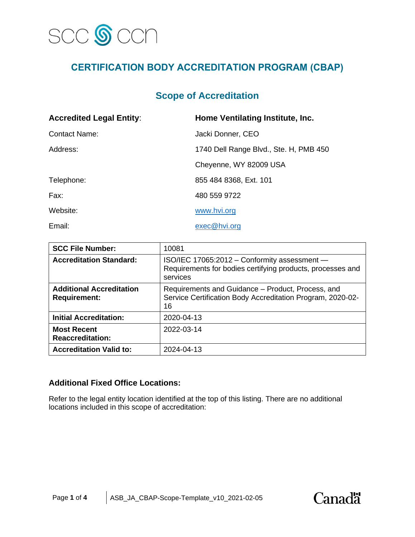

# **CERTIFICATION BODY ACCREDITATION PROGRAM (CBAP)**

## **Scope of Accreditation**

| <b>Accredited Legal Entity:</b> | Home Ventilating Institute, Inc.       |  |
|---------------------------------|----------------------------------------|--|
| <b>Contact Name:</b>            | Jacki Donner, CEO                      |  |
| Address:                        | 1740 Dell Range Blvd., Ste. H, PMB 450 |  |
|                                 | Cheyenne, WY 82009 USA                 |  |
| Telephone:                      | 855 484 8368, Ext. 101                 |  |
| Fax:                            | 480 559 9722                           |  |
| Website:                        | www.hvi.org                            |  |
| Email:                          | exec@hvi.org                           |  |

| <b>SCC File Number:</b>                                | 10081                                                                                                                  |
|--------------------------------------------------------|------------------------------------------------------------------------------------------------------------------------|
| <b>Accreditation Standard:</b>                         | ISO/IEC 17065:2012 - Conformity assessment -<br>Requirements for bodies certifying products, processes and<br>services |
| <b>Additional Accreditation</b><br><b>Requirement:</b> | Requirements and Guidance – Product, Process, and<br>Service Certification Body Accreditation Program, 2020-02-<br>16  |
| <b>Initial Accreditation:</b>                          | 2020-04-13                                                                                                             |
| <b>Most Recent</b><br><b>Reaccreditation:</b>          | 2022-03-14                                                                                                             |
| <b>Accreditation Valid to:</b>                         | 2024-04-13                                                                                                             |

#### **Additional Fixed Office Locations:**

Refer to the legal entity location identified at the top of this listing. There are no additional locations included in this scope of accreditation:

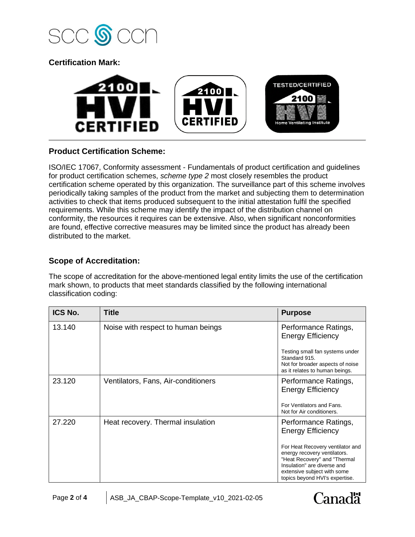

**Certification Mark:**



## **Product Certification Scheme:**

ISO/IEC 17067, Conformity assessment - Fundamentals of product certification and guidelines for product certification schemes, *scheme type 2* most closely resembles the product certification scheme operated by this organization. The surveillance part of this scheme involves periodically taking samples of the product from the market and subjecting them to determination activities to check that items produced subsequent to the initial attestation fulfil the specified requirements. While this scheme may identify the impact of the distribution channel on conformity, the resources it requires can be extensive. Also, when significant nonconformities are found, effective corrective measures may be limited since the product has already been distributed to the market.

## **Scope of Accreditation:**

The scope of accreditation for the above-mentioned legal entity limits the use of the certification mark shown, to products that meet standards classified by the following international classification coding:

| ICS No. | <b>Title</b>                        | <b>Purpose</b>                                                                                                                                                                                   |
|---------|-------------------------------------|--------------------------------------------------------------------------------------------------------------------------------------------------------------------------------------------------|
| 13.140  | Noise with respect to human beings  | Performance Ratings,<br><b>Energy Efficiency</b>                                                                                                                                                 |
|         |                                     | Testing small fan systems under<br>Standard 915.<br>Not for broader aspects of noise<br>as it relates to human beings.                                                                           |
| 23.120  | Ventilators, Fans, Air-conditioners | Performance Ratings,<br><b>Energy Efficiency</b>                                                                                                                                                 |
|         |                                     | For Ventilators and Fans.<br>Not for Air conditioners.                                                                                                                                           |
| 27.220  | Heat recovery. Thermal insulation   | Performance Ratings,<br><b>Energy Efficiency</b>                                                                                                                                                 |
|         |                                     | For Heat Recovery ventilator and<br>energy recovery ventilators.<br>"Heat Recovery" and "Thermal<br>Insulation" are diverse and<br>extensive subject with some<br>topics beyond HVI's expertise. |

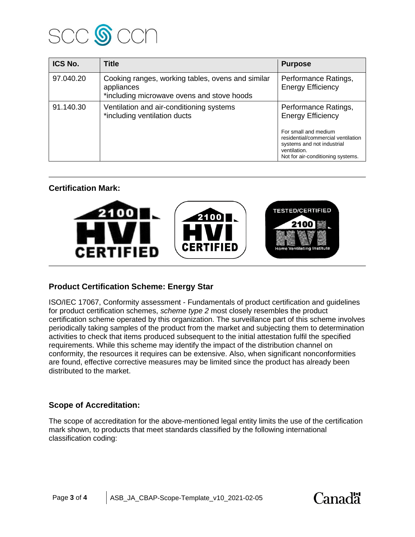

| ICS No.   | <b>Title</b>                                                                                                  | <b>Purpose</b>                                                                                                                                |
|-----------|---------------------------------------------------------------------------------------------------------------|-----------------------------------------------------------------------------------------------------------------------------------------------|
| 97.040.20 | Cooking ranges, working tables, ovens and similar<br>appliances<br>*including microwave ovens and stove hoods | Performance Ratings,<br><b>Energy Efficiency</b>                                                                                              |
| 91.140.30 | Ventilation and air-conditioning systems<br>*including ventilation ducts                                      | Performance Ratings,<br><b>Energy Efficiency</b>                                                                                              |
|           |                                                                                                               | For small and medium<br>residential/commercial ventilation<br>systems and not industrial<br>ventilation.<br>Not for air-conditioning systems. |

## **Certification Mark:**



## **Product Certification Scheme: Energy Star**

ISO/IEC 17067, Conformity assessment - Fundamentals of product certification and guidelines for product certification schemes, *scheme type 2* most closely resembles the product certification scheme operated by this organization. The surveillance part of this scheme involves periodically taking samples of the product from the market and subjecting them to determination activities to check that items produced subsequent to the initial attestation fulfil the specified requirements. While this scheme may identify the impact of the distribution channel on conformity, the resources it requires can be extensive. Also, when significant nonconformities are found, effective corrective measures may be limited since the product has already been distributed to the market.

#### **Scope of Accreditation:**

The scope of accreditation for the above-mentioned legal entity limits the use of the certification mark shown, to products that meet standards classified by the following international classification coding: